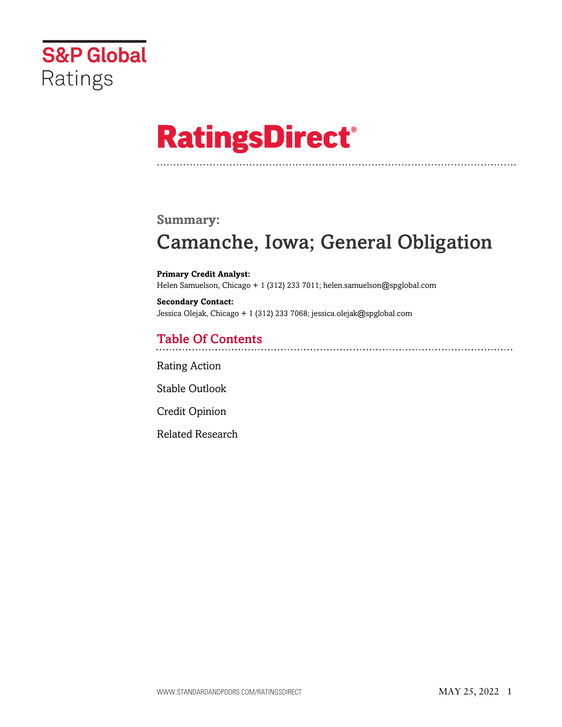

# **RatingsDirect®**

### **Summary:**

# Camanche, Iowa; General Obligation

**Primary Credit Analyst:** Helen Samuelson, Chicago + 1 (312) 233 7011; helen.samuelson@spglobal.com

**Secondary Contact:** Jessica Olejak, Chicago + 1 (312) 233 7068; jessica.olejak@spglobal.com

# Table Of Contents

[Rating Action](#page-1-0)

[Stable Outlook](#page-2-0)

[Credit Opinion](#page-2-1)

[Related Research](#page-5-0)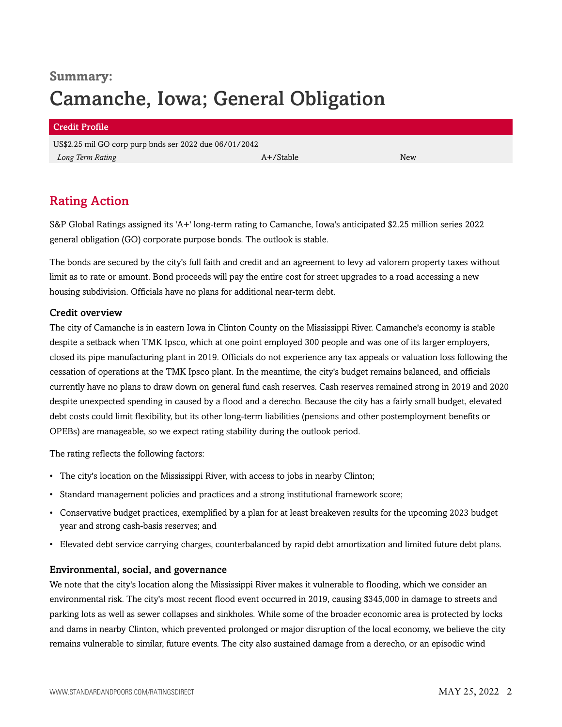# **Summary:** Camanche, Iowa; General Obligation

#### Credit Profile

US\$2.25 mil GO corp purp bnds ser 2022 due 06/01/2042 *Long Term Rating* New *A+/Stable* A+/Stable A+/Stable A+/Stable A+/Stable A+/Stable A+/Stable A+/Stable A+/Stable A+/Stable A+/Stable A+/Stable A+/Stable A+/Stable A+/Stable A+/Stable A+/Stable A+/Stable A+/Stable A+/Stab

# <span id="page-1-0"></span>Rating Action

S&P Global Ratings assigned its 'A+' long-term rating to Camanche, Iowa's anticipated \$2.25 million series 2022 general obligation (GO) corporate purpose bonds. The outlook is stable.

The bonds are secured by the city's full faith and credit and an agreement to levy ad valorem property taxes without limit as to rate or amount. Bond proceeds will pay the entire cost for street upgrades to a road accessing a new housing subdivision. Officials have no plans for additional near-term debt.

#### Credit overview

The city of Camanche is in eastern Iowa in Clinton County on the Mississippi River. Camanche's economy is stable despite a setback when TMK Ipsco, which at one point employed 300 people and was one of its larger employers, closed its pipe manufacturing plant in 2019. Officials do not experience any tax appeals or valuation loss following the cessation of operations at the TMK Ipsco plant. In the meantime, the city's budget remains balanced, and officials currently have no plans to draw down on general fund cash reserves. Cash reserves remained strong in 2019 and 2020 despite unexpected spending in caused by a flood and a derecho. Because the city has a fairly small budget, elevated debt costs could limit flexibility, but its other long-term liabilities (pensions and other postemployment benefits or OPEBs) are manageable, so we expect rating stability during the outlook period.

The rating reflects the following factors:

- The city's location on the Mississippi River, with access to jobs in nearby Clinton;
- Standard management policies and practices and a strong institutional framework score;
- Conservative budget practices, exemplified by a plan for at least breakeven results for the upcoming 2023 budget year and strong cash-basis reserves; and
- Elevated debt service carrying charges, counterbalanced by rapid debt amortization and limited future debt plans.

#### Environmental, social, and governance

We note that the city's location along the Mississippi River makes it vulnerable to flooding, which we consider an environmental risk. The city's most recent flood event occurred in 2019, causing \$345,000 in damage to streets and parking lots as well as sewer collapses and sinkholes. While some of the broader economic area is protected by locks and dams in nearby Clinton, which prevented prolonged or major disruption of the local economy, we believe the city remains vulnerable to similar, future events. The city also sustained damage from a derecho, or an episodic wind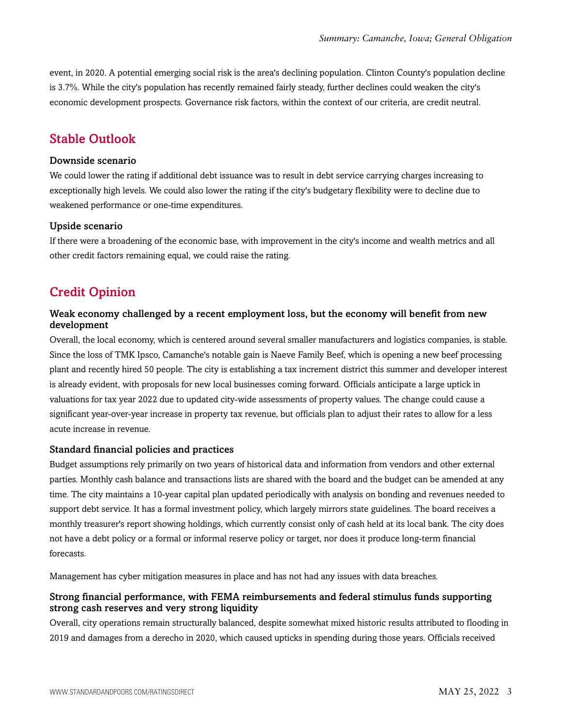event, in 2020. A potential emerging social risk is the area's declining population. Clinton County's population decline is 3.7%. While the city's population has recently remained fairly steady, further declines could weaken the city's economic development prospects. Governance risk factors, within the context of our criteria, are credit neutral.

### <span id="page-2-0"></span>Stable Outlook

#### Downside scenario

We could lower the rating if additional debt issuance was to result in debt service carrying charges increasing to exceptionally high levels. We could also lower the rating if the city's budgetary flexibility were to decline due to weakened performance or one-time expenditures.

#### Upside scenario

If there were a broadening of the economic base, with improvement in the city's income and wealth metrics and all other credit factors remaining equal, we could raise the rating.

## <span id="page-2-1"></span>Credit Opinion

#### Weak economy challenged by a recent employment loss, but the economy will benefit from new development

Overall, the local economy, which is centered around several smaller manufacturers and logistics companies, is stable. Since the loss of TMK Ipsco, Camanche's notable gain is Naeve Family Beef, which is opening a new beef processing plant and recently hired 50 people. The city is establishing a tax increment district this summer and developer interest is already evident, with proposals for new local businesses coming forward. Officials anticipate a large uptick in valuations for tax year 2022 due to updated city-wide assessments of property values. The change could cause a significant year-over-year increase in property tax revenue, but officials plan to adjust their rates to allow for a less acute increase in revenue.

#### Standard financial policies and practices

Budget assumptions rely primarily on two years of historical data and information from vendors and other external parties. Monthly cash balance and transactions lists are shared with the board and the budget can be amended at any time. The city maintains a 10-year capital plan updated periodically with analysis on bonding and revenues needed to support debt service. It has a formal investment policy, which largely mirrors state guidelines. The board receives a monthly treasurer's report showing holdings, which currently consist only of cash held at its local bank. The city does not have a debt policy or a formal or informal reserve policy or target, nor does it produce long-term financial forecasts.

Management has cyber mitigation measures in place and has not had any issues with data breaches.

#### Strong financial performance, with FEMA reimbursements and federal stimulus funds supporting strong cash reserves and very strong liquidity

Overall, city operations remain structurally balanced, despite somewhat mixed historic results attributed to flooding in 2019 and damages from a derecho in 2020, which caused upticks in spending during those years. Officials received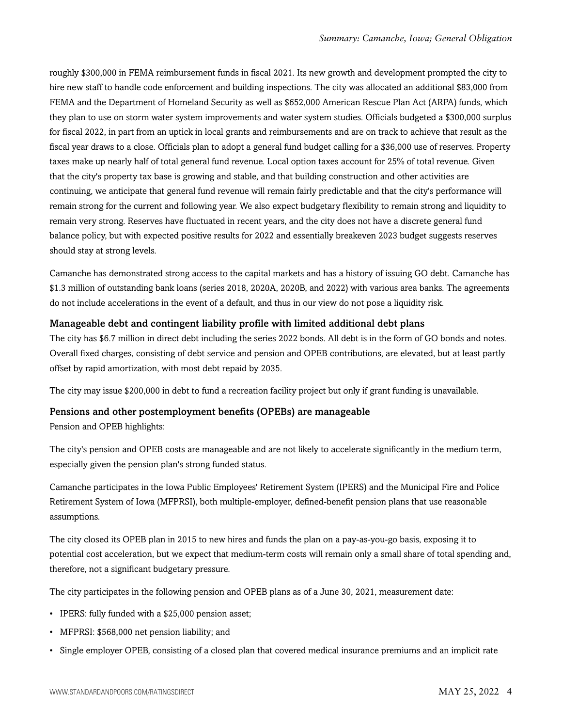roughly \$300,000 in FEMA reimbursement funds in fiscal 2021. Its new growth and development prompted the city to hire new staff to handle code enforcement and building inspections. The city was allocated an additional \$83,000 from FEMA and the Department of Homeland Security as well as \$652,000 American Rescue Plan Act (ARPA) funds, which they plan to use on storm water system improvements and water system studies. Officials budgeted a \$300,000 surplus for fiscal 2022, in part from an uptick in local grants and reimbursements and are on track to achieve that result as the fiscal year draws to a close. Officials plan to adopt a general fund budget calling for a \$36,000 use of reserves. Property taxes make up nearly half of total general fund revenue. Local option taxes account for 25% of total revenue. Given that the city's property tax base is growing and stable, and that building construction and other activities are continuing, we anticipate that general fund revenue will remain fairly predictable and that the city's performance will remain strong for the current and following year. We also expect budgetary flexibility to remain strong and liquidity to remain very strong. Reserves have fluctuated in recent years, and the city does not have a discrete general fund balance policy, but with expected positive results for 2022 and essentially breakeven 2023 budget suggests reserves should stay at strong levels.

Camanche has demonstrated strong access to the capital markets and has a history of issuing GO debt. Camanche has \$1.3 million of outstanding bank loans (series 2018, 2020A, 2020B, and 2022) with various area banks. The agreements do not include accelerations in the event of a default, and thus in our view do not pose a liquidity risk.

#### Manageable debt and contingent liability profile with limited additional debt plans

The city has \$6.7 million in direct debt including the series 2022 bonds. All debt is in the form of GO bonds and notes. Overall fixed charges, consisting of debt service and pension and OPEB contributions, are elevated, but at least partly offset by rapid amortization, with most debt repaid by 2035.

The city may issue \$200,000 in debt to fund a recreation facility project but only if grant funding is unavailable.

#### Pensions and other postemployment benefits (OPEBs) are manageable

Pension and OPEB highlights:

The city's pension and OPEB costs are manageable and are not likely to accelerate significantly in the medium term, especially given the pension plan's strong funded status.

Camanche participates in the Iowa Public Employees' Retirement System (IPERS) and the Municipal Fire and Police Retirement System of Iowa (MFPRSI), both multiple-employer, defined-benefit pension plans that use reasonable assumptions.

The city closed its OPEB plan in 2015 to new hires and funds the plan on a pay-as-you-go basis, exposing it to potential cost acceleration, but we expect that medium-term costs will remain only a small share of total spending and, therefore, not a significant budgetary pressure.

The city participates in the following pension and OPEB plans as of a June 30, 2021, measurement date:

- IPERS: fully funded with a \$25,000 pension asset;
- MFPRSI: \$568,000 net pension liability; and
- Single employer OPEB, consisting of a closed plan that covered medical insurance premiums and an implicit rate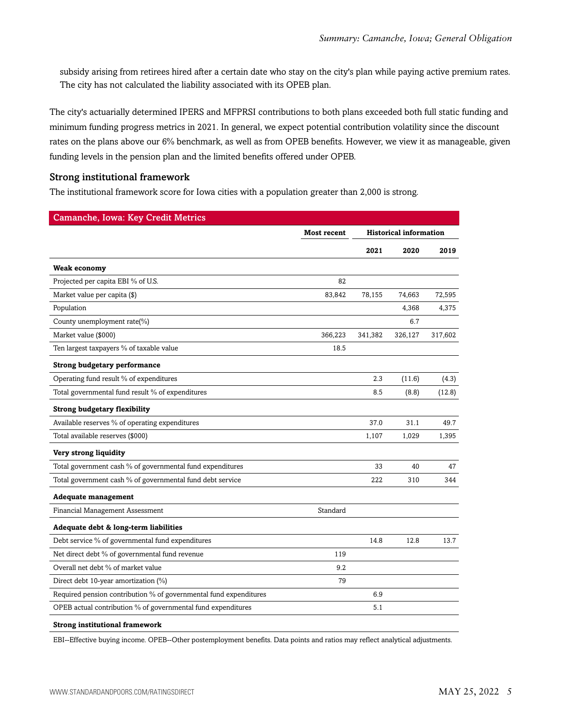subsidy arising from retirees hired after a certain date who stay on the city's plan while paying active premium rates. The city has not calculated the liability associated with its OPEB plan.

The city's actuarially determined IPERS and MFPRSI contributions to both plans exceeded both full static funding and minimum funding progress metrics in 2021. In general, we expect potential contribution volatility since the discount rates on the plans above our 6% benchmark, as well as from OPEB benefits. However, we view it as manageable, given funding levels in the pension plan and the limited benefits offered under OPEB.

#### Strong institutional framework

The institutional framework score for Iowa cities with a population greater than 2,000 is strong.

| <b>Camanche, Iowa: Key Credit Metrics</b>                         |             |                               |         |         |
|-------------------------------------------------------------------|-------------|-------------------------------|---------|---------|
|                                                                   | Most recent | <b>Historical information</b> |         |         |
|                                                                   |             | 2021                          | 2020    | 2019    |
| Weak economy                                                      |             |                               |         |         |
| Projected per capita EBI % of U.S.                                | 82          |                               |         |         |
| Market value per capita (\$)                                      | 83,842      | 78,155                        | 74,663  | 72,595  |
| Population                                                        |             |                               | 4,368   | 4,375   |
| County unemployment rate(%)                                       |             |                               | 6.7     |         |
| Market value (\$000)                                              | 366,223     | 341,382                       | 326,127 | 317,602 |
| Ten largest taxpayers % of taxable value                          | 18.5        |                               |         |         |
| <b>Strong budgetary performance</b>                               |             |                               |         |         |
| Operating fund result % of expenditures                           |             | 2.3                           | (11.6)  | (4.3)   |
| Total governmental fund result % of expenditures                  |             | 8.5                           | (8.8)   | (12.8)  |
| <b>Strong budgetary flexibility</b>                               |             |                               |         |         |
| Available reserves % of operating expenditures                    |             | 37.0                          | 31.1    | 49.7    |
| Total available reserves (\$000)                                  |             | 1,107                         | 1,029   | 1,395   |
| Very strong liquidity                                             |             |                               |         |         |
| Total government cash % of governmental fund expenditures         |             | 33                            | 40      | 47      |
| Total government cash % of governmental fund debt service         |             | 222                           | 310     | 344     |
| <b>Adequate management</b>                                        |             |                               |         |         |
| Financial Management Assessment                                   | Standard    |                               |         |         |
| Adequate debt & long-term liabilities                             |             |                               |         |         |
| Debt service % of governmental fund expenditures                  |             | 14.8                          | 12.8    | 13.7    |
| Net direct debt % of governmental fund revenue                    | 119         |                               |         |         |
| Overall net debt % of market value                                | 9.2         |                               |         |         |
| Direct debt 10-year amortization $(\%)$                           | 79          |                               |         |         |
| Required pension contribution % of governmental fund expenditures |             | 6.9                           |         |         |
| OPEB actual contribution % of governmental fund expenditures      |             | 5.1                           |         |         |
| <b>Strong institutional framework</b>                             |             |                               |         |         |

EBI--Effective buying income. OPEB--Other postemployment benefits. Data points and ratios may reflect analytical adjustments.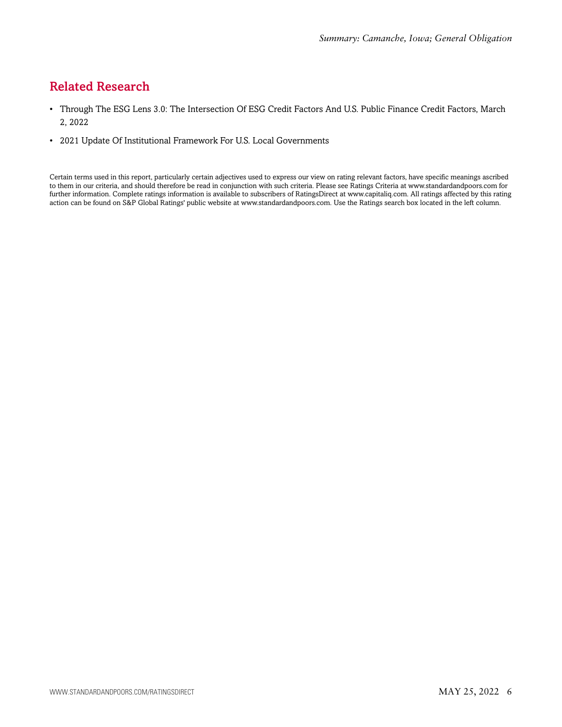# <span id="page-5-0"></span>Related Research

- Through The ESG Lens 3.0: The Intersection Of ESG Credit Factors And U.S. Public Finance Credit Factors, March 2, 2022
- 2021 Update Of Institutional Framework For U.S. Local Governments

Certain terms used in this report, particularly certain adjectives used to express our view on rating relevant factors, have specific meanings ascribed to them in our criteria, and should therefore be read in conjunction with such criteria. Please see Ratings Criteria at www.standardandpoors.com for further information. Complete ratings information is available to subscribers of RatingsDirect at www.capitaliq.com. All ratings affected by this rating action can be found on S&P Global Ratings' public website at www.standardandpoors.com. Use the Ratings search box located in the left column.